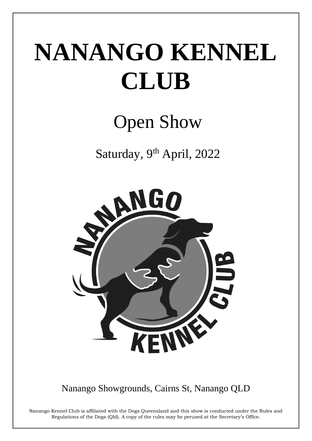# NANANGO KENNEL CLUB

# **Open Show**

Saturday, 9th April, 2022



Nanango Showgrounds, Cairns St, Nanango QLD

Nanango Kennel Club is affiliated with the Dogs Queensland and this show is conducted under the Rules and Regulations of the Dogs (Qld). A copy of the rules may be perused at the Secretary's Office.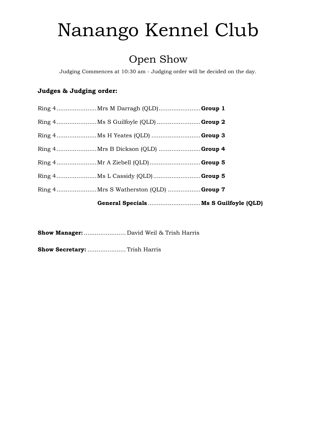# Nanango Kennel Club

# Open Show

Judging Commences at 10:30 am - Judging order will be decided on the day.

# Judges & Judging order:

Show Manager: ........................ David Weil & Trish Harris

Show Secretary: ...................... Trish Harris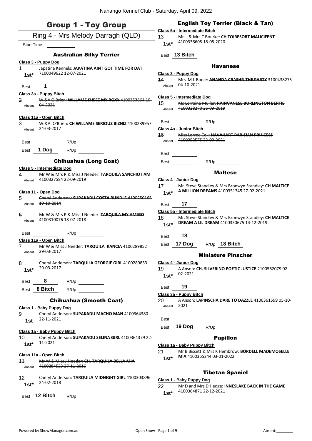| <b>Group 1 - Toy Group</b>                                                                                                | <b>English Toy Terrier (Black &amp; Tan)</b><br>Class 5a - Intermediate Bitch                                                                     |
|---------------------------------------------------------------------------------------------------------------------------|---------------------------------------------------------------------------------------------------------------------------------------------------|
| Ring 4 - Mrs Melody Darragh (QLD)                                                                                         | 13<br>Mr. J & Mrs C Bourke: CH TOIRESORT MALICIFENT                                                                                               |
| Start Time:                                                                                                               | 4100336605 18-05-2020<br>$1st*$                                                                                                                   |
| <b>Australian Silky Terrier</b>                                                                                           | Best 13 Bitch                                                                                                                                     |
| Class 3 - Puppy Dog<br>1<br>Japatina Kennels: JAPATINA AINT GOT TIME FOR DAT<br>7100049622 12-07-2021<br>$1st*$           | <b>Havanese</b><br>Class 3 - Puppy Dog<br>14<br><u>Mrs. M.L.Boole: ANANDA CRASHN THE PARTY 3100438275</u>                                         |
| 1<br>Best                                                                                                                 | 04-10-2021<br>Absent                                                                                                                              |
| Class 3a - Puppy Bitch<br>2<br>W &A O'Brien: WILLAME SHEEZ MY ROXY 4100353864 10<br>04-2021<br>Absent                     | Class 5 - Intermediate Dog<br>15<br>Ms Lorraine Muller: RAINVANESE BURLINGTON BERTIE<br>4100328270 26-09-2019<br>Absent                           |
| Class 11a - Open Bitch<br>3<br>W.&A. O'Brien: CH WILLAME SERIOUZ BIZNIZ 4100289957<br>24-03-2017<br>Absent                | Best<br>R/U <sub>p</sub><br>Class 4a - Junior Bitch                                                                                               |
| R/Up<br>Best<br>1 Dog                                                                                                     | Miss Lorree Cox: HAVAHART PARISIAN PRINCESS<br>16<br>4100352575 23-03-2021<br>Absent                                                              |
| R/Up<br>Best                                                                                                              | Best                                                                                                                                              |
| <b>Chihuahua (Long Coat)</b>                                                                                              | R/Up<br>Best                                                                                                                                      |
| Class 5 - Intermediate Dog<br>Mr W & Mrs P & Miss J Needer: TARQUILA SANCHIO I AM<br>4<br>4100327584 22-09-2019<br>Absent | <b>Maltese</b><br>Class 4 - Junior Dog                                                                                                            |
| Class 11 - Open Dog<br>5<br>Cheryl Anderson: SUPAKADU COSTA BUNDLE 4100250165<br>10-10-2014<br>Absent                     | 17<br>Mr. Steve Standley & Mrs Bronwyn Standley: CH MALTICE<br>A MILLION DREAMS 4100351345 27-02-2021<br>$1st*$<br>17<br>Best                     |
| Mr W & Mrs P & Miss J Needer: TARQUILA MY AMIGO<br>6<br>4100310076 18 07 2018<br>Absent                                   | Class 5a - Intermediate Bitch<br>18<br>Mr. Steve Standley & Mrs Bronwyn Standley: CH MALTICE<br>DREAM A LIL DREAM 4100330675 14-12-2019<br>$1st*$ |
| R/Up<br>Best                                                                                                              | 18<br><b>Best</b>                                                                                                                                 |
| Class 11a - Open Bitch<br>7<br>Mr W & Miss J Needer: TARQUILA RANCIA 4100289852<br>Absent 29-03-2017                      | 17 Dog<br>18 Bitch<br>R/Up<br>Best                                                                                                                |
| 8<br>Cheryl Anderson: TARQUILA GEORGIE GIRL 4100289853<br>29-03-2017<br>$1st*$                                            | <b>Miniature Pinscher</b><br>Class 4 - Junior Dog<br>A Anson: CH. SILVERINO POETIC JUSTICE 2100562079 02-<br>19<br>02-2021<br>$1st*$              |
| 8<br>R/Up<br>Best                                                                                                         | 19<br>Best                                                                                                                                        |
| Best 8 Bitch<br>R/Up                                                                                                      | Class 3a - Puppy Bitch                                                                                                                            |
| <b>Chihuahua (Smooth Coat)</b>                                                                                            | 20<br>A Anson: LAPINSCHA DARE TO DAZZLE 4100361599 05 10<br>2021<br>Absent                                                                        |
| Class 1 - Baby Puppy Dog<br>9<br>Cheryl Anderson: SUPAKADU MACHO MAN 4100364380<br>22-11-2021<br>1st                      | Best                                                                                                                                              |
| Class 1a - Baby Puppy Bitch                                                                                               | 19 Dog<br>Best<br>R/Up                                                                                                                            |
| Cheryl Anderson: SUPAKADU SELINA GIRL 4100364379 22-<br>10<br>11-2021<br>$1st*$                                           | <b>Papillon</b><br>Class 1a - Baby Puppy Bitch                                                                                                    |
| Class 11a - Open Bitch<br>11<br>Mr W & Miss J Needer: CH. TARQUILA BELLA MIA<br>4100284523 27-11-2016<br>Absent           | Mr B Bissett & Mrs K Hembrow: BORDELL MADEMOSELLE<br>21<br>MIA 4100365244 03-01-2022<br>$1st*$                                                    |
| 12<br>Cheryl Anderson: TARQUILA MIDNIGHT GIRL 4100303896<br>24-02-2018<br>$1st*$                                          | <b>Tibetan Spaniel</b><br>Class 1 - Baby Puppy Dog<br>Mr D and Mrs D Hedge: INNESLAKE BACK IN THE GAME<br>22<br>4100364871 22-12-2021<br>$1st*$   |
| Best 12 Bitch<br>R/Up                                                                                                     |                                                                                                                                                   |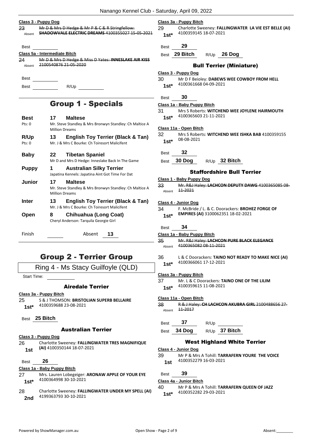#### **Class 3 - Puppy Dog**

| -23    | Mr D & Mrs D Hedge & Mr P & C & R Stringfellow:         |
|--------|---------------------------------------------------------|
| Absent | <b>SHADOWVALE ELECTRIC DREAMS 4100355027 15-05-2021</b> |

Best

# **Class 5a - Intermediate Bitch**

24 Mr D & Mrs D Hedge & Miss D Yates: **INNESLAKE AIR KISS** Absent 2100540876 21-05-2020

Best

Best R/Up

# Group 1 - Specials

| <b>Best</b><br>Pts:0 | 17<br><b>Million Dreams</b> | <b>Maltese</b><br>Mr. Steve Standley & Mrs Bronwyn Standley: Ch Maltice A                     |
|----------------------|-----------------------------|-----------------------------------------------------------------------------------------------|
| R/Up<br>Pts: 0       | 13                          | <b>English Toy Terrier (Black &amp; Tan)</b><br>Mr. J & Mrs C Bourke: Ch Toiresort Malicifent |
| Baby                 | 22                          | <b>Tibetan Spaniel</b><br>Mr D and Mrs D Hedge: Inneslake Back In The Game                    |
| <b>Puppy</b>         | 1                           | <b>Australian Silky Terrier</b><br>Japatina Kennels: Japatina Aint Got Time For Dat           |
| Junior               | 17<br><b>Million Dreams</b> | <b>Maltese</b><br>Mr. Steve Standley & Mrs Bronwyn Standley: Ch Maltice A                     |
| Inter                | 13                          | English Toy Terrier (Black & Tan)<br>Mr. J & Mrs C Bourke: Ch Toiresort Malicifent            |
| Open                 | 8                           | Chihuahua (Long Coat)<br>Cheryl Anderson: Tarquila Georgie Girl                               |
| Finish               |                             | Absent<br>13                                                                                  |

# Group 2 - Terrier Group

Ring 4 - Ms Stacy Guilfoyle (QLD)

Start Time:

# Airedale Terrier

#### **Class 3a - Puppy Bitch**

25 S & J THOMSON: **BRISTOLIAN SUPERB BELLAIRE** 4100359688 23-08-2021 **1st\***

Best **25 Bitch**

## Australian Terrier

# **Class 3 - Puppy Dog**

- 26 Charlotte Sweeney: **FALLINGWATER TRES MAGNIFIQUE (AI)** 4100350144 18-07-2021 **1st**
- Best **26**

#### **Class 1a - Baby Puppy Bitch**

- 27 Mrs. Lauren Lobegeiger: **ARONAW APPLE OF YOUR EYE** 4100364998 30-10-2021 **1st\***
- 28 Charlotte Sweeney: **FALLINGWATER UNDER MY SPELL (AI)** 4199363793 30-10-2021 **2nd**

#### **Class 3a - Puppy Bitch**

29 Charlotte Sweeney: **FALLINGWATER LA VIE EST BELLE (AI)** 4100359145 18-07-2021 **1st\***

# Best **29**

Best **29 Bitch** R/Up **26 Dog**

## Bull Terrier (Miniature)

#### **Class 3 - Puppy Dog**

Best **30**

#### **Class 1a - Baby Puppy Bitch**

31 Mrs S Roberts: **WITCHEND WEE JOYLENE HAIRMOUTH** 4100365603 21-11-2021 **1st\***

#### **Class 11a - Open Bitch**

- 32 Mrs S Roberts: **WITCHEND WEE ISHKA BAB** 4100359155 08-08-2021 **1st\***
- Best **32**
- Best **30 Dog** R/Up **32 Bitch**

## Staffordshire Bull Terrier

#### **Class 1 - Baby Puppy Dog**

33 Mr. R&J Haley: **LACHCON DEPUTY DAWG** 4100365085 08- Absent 11-2021

#### **Class 4 - Junior Dog**

| 34     | F. McBride / L. & C. Doorackers: BROHEZ FORGE OF |
|--------|--------------------------------------------------|
| $1st*$ | EMPIRES (AI) 3100062351 18-02-2021               |

# Best **34**

#### **Class 1a - Baby Puppy Bitch**

- 35 Mr. R&J Haley: **LACHCON PURE BLACK ELEGANCE** Absent 4100365082 08-11-2021
- 36 L & C Doorackers: **TAINO NOT READY TO MAKE NICE (AI)** 4100366061 17-12-2021 **1st\***

#### **Class 3a - Puppy Bitch**

37 Mr. L & C Doorackers: **TAINO ONE OF THE LILIM**

38 R & J Haley: **CH LACHCON AKUBRA GIRL** 2100488656 27- Absent 11-2017

# Best **37** R/Up

Best **34 Dog** R/Up **37 Bitch**

# West Highland White Terrier

#### **Class 4 - Junior Dog**

- 39 Mr P & Mrs A Tohill: **TARRAFERN YOURE THE VOICE** 4100352279 16-03-2021 **1st**
- Best **39**

#### **Class 4a - Junior Bitch**

40 Mr P & Mrs A Tohill: **TARRAFERN QUEEN OF JAZZ** 4100352282 29-03-2021 **1st\***

4100359615 11-08-2021 **1st\* Class 11a - Open Bitch**

<sup>30</sup> Mr D F Beioley: **DABEWS WEE COWBOY FROM HELL** 4100361668 04-09-2021 **1st\***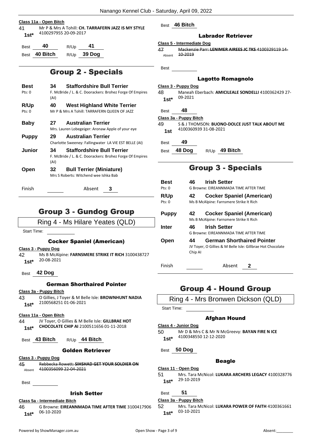#### **Class 11a - Open Bitch**

41 Mr P & Mrs A Tohill: **CH. TARRAFERN JAZZ IS MY STYLE** 4100297955 20-09-2017 **1st\***

| Best | 40            | R/Up | 41            |
|------|---------------|------|---------------|
|      | Best 40 Bitch |      | $R/Up$ 39 Dog |

# Group 2 - Specials

| Best   | <b>Staffordshire Bull Terrier</b><br>34                          |
|--------|------------------------------------------------------------------|
| Pts:0  | F. McBride / L. & C. Doorackers: Brohez Forge Of Empires<br>(AI) |
| R/Up   | <b>West Highland White Terrier</b><br>40                         |
| Pts: 0 | Mr P & Mrs A Tohill: TARRAFERN QUEEN OF JAZZ                     |
| Baby   | <b>Australian Terrier</b><br>27                                  |
|        | Mrs. Lauren Lobegeiger: Aronaw Apple of your eye                 |
| Puppy  | <b>Australian Terrier</b><br>29                                  |
|        | Charlotte Sweeney: Fallingwater LA VIE EST BELLE (AI)            |
| Junior | <b>Staffordshire Bull Terrier</b><br>34                          |
|        | F. McBride / L. & C. Doorackers: Brohez Forge Of Empires<br>(AI) |
| Open   | <b>Bull Terrier (Miniature)</b><br>32                            |
|        | Mrs S Roberts: Witchend wee Ishka Bab                            |
| Finish | Absent                                                           |

# Group 3 - Gundog Group

Ring 4 - Ms Hilare Yeates (QLD)

Start Time:

## Cocker Spaniel (American)

**Class 3 - Puppy Dog**

- 42 Ms B McAlpine: **FARNSMERE STRIKE IT RICH** 3100438727 20-08-2021 **1st\***
- Best **42 Dog**

#### German Shorthaired Pointer

#### **Class 3a - Puppy Bitch**

43 O Gillies, J Toyer & M Belle Isle: **BROWNHUNT NADIA** 2100568251 01-06-2021 **1st\***

# **Class 11a - Open Bitch**

- 44 JV Toyer, O Gillies & M Belle Isle: **GILLBRAE HOT CHOCOLATE CHIP AI** 2100511656 01-11-2018 **1st\***
- Best **43 Bitch** R/Up **44 Bitch**

# Golden Retriever

# **Class 3 - Puppy Dog**

45 Rebbecka Rowett: **SIHSHAD GET YOUR SOLDIER ON** Absent 4100356099 22 04 2021

Best

# Irish Setter

# **Class 5a - Intermediate Bitch**

46 G Browne: **EIREANNMADA TIME AFTER TIME** 3100417906 06-10-2020 **1st\***

Best **46 Bitch**

# Labrador Retriever

## **Class 5 - Intermediate Dog**

47 Mackenzie Parr: **LENIMER AIREES JC TKS** 4100329119 14- Absent  $10-2019$ 

Best

## Lagotto Romagnolo

#### **Class 3 - Puppy Dog**

| 48 | Maneah Eberbach: AMICILEALE SONDELLI 4100362429 27- |
|----|-----------------------------------------------------|
|    | 1st* $09-2021$                                      |

# Best **48**

# **Class 3a - Puppy Bitch**

- 49 S & J THOMSON: **BUONO-DOLCE JUST TALK ABOUT ME** 4100360939 31-08-2021 **1st**
- Best **49**

Best **48 Dog** R/Up **49 Bitch**

# Group 3 - Specials

| <b>Best</b><br>Pts: 0 | 46            | <b>Irish Setter</b><br>G Browne: EIREANNMADA TIME AFTER TIME                                    |
|-----------------------|---------------|-------------------------------------------------------------------------------------------------|
| <b>R/Up</b><br>Pts: 0 | 42            | <b>Cocker Spaniel (American)</b><br>Ms B McAlpine: Farnsmere Strike It Rich                     |
| <b>Puppy</b>          | 42            | <b>Cocker Spaniel (American)</b><br>Ms B McAlpine: Farnsmere Strike It Rich                     |
| Inter                 | 46            | <b>Irish Setter</b><br>G Browne: EIREANNMADA TIME AFTER TIME                                    |
| Open                  | 44<br>Chip Al | <b>German Shorthaired Pointer</b><br>JV Toyer, O Gillies & M Belle Isle: Gillbrae Hot Chocolate |
| Finish                |               | Absent                                                                                          |

# Group 4 - Hound Group

Ring 4 - Mrs Bronwen Dickson (QLD)

Start Time:

# Afghan Hound

- **Class 4 - Junior Dog**
- 50 Mr D & Mrs C & Mr N McGreevy: **BAYAN FIRE N ICE** 4100348550 12-12-2020 **1st\***

Best **50 Dog**

# **Beagle**

# **Class 11 - Open Dog**

51 Mrs. Tara McNicol: **LUKARA ARCHERS LEGACY** 4100328776 29-10-2019 **1st\***

Best **51**

# **Class 3a - Puppy Bitch**

52 Mrs. Tara McNicol: **LUKARA POWER OF FAITH** 4100361661 03-10-2021 **1st\***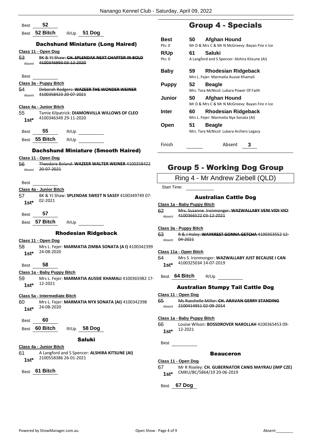| 52<br><b>Best</b>                                                                       | <b>Group 4 - Specials</b>                                                                    |
|-----------------------------------------------------------------------------------------|----------------------------------------------------------------------------------------------|
| 52 Bitch<br>R/Up 51 Dog<br><b>Best</b>                                                  |                                                                                              |
| <b>Dachshund Miniature (Long Haired)</b>                                                | 50<br><b>Afghan Hound</b><br><b>Best</b>                                                     |
| Class 11 - Open Dog                                                                     | Mr D & Mrs C & Mr N McGreevy: Bayan Fire n Ice<br>Pts: 0                                     |
| BK & YJ Shaw: CH. SPLENDAK NEXT CHAPTER IN BOLD<br>53                                   | R/Up<br>61<br><b>Saluki</b><br>A Langford and S Spencer: Alshira Kitsune (AI)<br>Pts: 0      |
| 4100346993 03-12-2020<br>Absent                                                         |                                                                                              |
|                                                                                         | <b>Baby</b><br>59<br><b>Rhodesian Ridgeback</b>                                              |
| Best                                                                                    | Mrs L. Fejer: Marmatia Aussie Khamali                                                        |
| Class 3a - Puppy Bitch<br>54<br>Deborah Rodgers: WAZEER THE WONDER WEINER               | <b>Puppy</b><br>52<br><b>Beagle</b>                                                          |
| 4100358423 20 07 2021<br>Absent                                                         | Mrs. Tara McNicol: Lukara Power Of Faith                                                     |
|                                                                                         | <b>Junior</b><br><b>Afghan Hound</b><br>50<br>Mr D & Mrs C & Mr N McGreevy: Bayan Fire n Ice |
| Class 4a - Junior Bitch                                                                 | 60                                                                                           |
| 55<br>Tamie Kilpatrick: DIAMONVILLA WILLOWS OF CLEO<br>4100346349 29-11-2020            | <b>Rhodesian Ridgeback</b><br>Inter<br>Mrs L. Fejer: Marmatia Nyx Sonata (AI)                |
| $1st*$                                                                                  | 51<br><b>Beagle</b><br>Open                                                                  |
| 55<br>R/Up<br><b>Best</b>                                                               | Mrs. Tara McNicol: Lukara Archers Legacy                                                     |
| Best 55 Bitch<br>R/Up                                                                   |                                                                                              |
|                                                                                         | Finish<br>Absent<br>3                                                                        |
| <b>Dachshund Miniature (Smooth Haired)</b>                                              |                                                                                              |
| Class 11 - Open Dog                                                                     |                                                                                              |
| 56<br>Theodore Boland: WAZEER WALTER WEINER 4100358422<br>20 07 2021<br>Absent          | <b>Group 5 - Working Dog Group</b>                                                           |
|                                                                                         | Ring 4 - Mr Andrew Ziebell (QLD)                                                             |
| <b>Best</b>                                                                             |                                                                                              |
| Class 4a - Junior Bitch                                                                 | Start Time:                                                                                  |
| 57<br>BK & YJ Shaw: SPLENDAK SWEET N SASSY 4100349749 07-<br>02-2021                    | <b>Australian Cattle Dog</b>                                                                 |
| $1st*$                                                                                  | Class 1a - Baby Puppy Bitch                                                                  |
| 57<br><b>Best</b>                                                                       | Mrs. Suzanne Ironmonger: WAZWALLABY VENI VIDI VICI<br>62<br>4100366522 03-12-2021            |
| 57 Bitch<br>Best<br>R/Up                                                                | Absent                                                                                       |
|                                                                                         | Class 3a - Puppy Bitch                                                                       |
| <b>Rhodesian Ridgeback</b>                                                              | 63<br>R & J Haley: WAYKREST GONNA GETCHA 4100353552 12-<br>04 2021                           |
| Class 11 - Open Dog<br>58<br>Mrs L. Fejer: MARMATIA ZIMBA SONATA (AI) 4100342399        | Absent                                                                                       |
| 24-08-2020<br>$1st^*$                                                                   | Class 11a - Open Bitch                                                                       |
|                                                                                         | 64<br>Mrs S Ironmonger: WAZWALLABY JUST BECAUSE I CAN                                        |
| 58<br><b>Best</b>                                                                       | 4100325034 14-07-2019<br>$1st*$                                                              |
| Class 1a - Baby Puppy Bitch                                                             | Best 64 Bitch<br>R/Up                                                                        |
| 59<br>Mrs L. Fejer: MARMATIA AUSSIE KHAMALI 4100365982 17-<br>12-2021                   |                                                                                              |
| $1st*$                                                                                  | <b>Australian Stumpy Tail Cattle Dog</b>                                                     |
| Class 5a - Intermediate Bitch                                                           | Class 11 - Open Dog                                                                          |
| 60<br>Mrs L. Fejer: MARMATIA NYX SONATA (AI) 4100342398                                 | Ms Raechelle Miller: CH. ARAVAN GERRY STANDING<br>65<br>2100414951 02-09-2014<br>Absent      |
| 24-08-2020<br>$1st*$                                                                    |                                                                                              |
| 60<br>Best                                                                              | Class 1a - Baby Puppy Bitch                                                                  |
| Best 60 Bitch<br>R/Up 58 Dog                                                            | Louise Wilson: BOSSDROVER NAROLLAH 4100365453 09-<br>66                                      |
|                                                                                         | 12-2021<br>$1st*$                                                                            |
| <b>Saluki</b>                                                                           | Best                                                                                         |
| Class 4a - Junior Bitch                                                                 |                                                                                              |
| A Langford and S Spencer: ALSHIRA KITSUNE (AI)<br>61<br>2100558386 26-01-2021<br>$1st*$ | <b>Beauceron</b>                                                                             |
|                                                                                         | Class 11 - Open Dog<br>67<br>Mr R Riseley: CH. GUBERNATOR CANIS MAYRAU (IMP CZE)             |
| Best 61 Bitch                                                                           | CMKU/BC/5864/19 20-06-2019<br>$1st*$                                                         |
|                                                                                         |                                                                                              |

Best **67 Dog**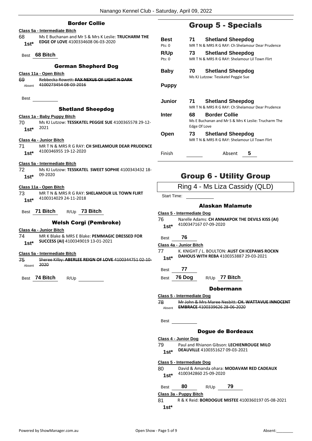| <b>Border Collie</b>                                         |                   |
|--------------------------------------------------------------|-------------------|
| Class 5a - Intermediate Bitch                                |                   |
| Ms E Buchanan and Mr S & Mrs K Leslie: TRUCHARM THE<br>68    | <b>Bes</b>        |
| EDGE OF LOVE 4100334608 06-03-2020<br>1st*                   | Pts: 0            |
|                                                              |                   |
| Best 68 Bitch                                                | R/U <sub>l</sub>  |
|                                                              | Pts: 0            |
| <b>German Shepherd Dog</b>                                   |                   |
|                                                              | Bab               |
| Class 11a - Open Bitch                                       |                   |
| 69.<br>Rebbecka Rowett: FAX NEXUS OF LIGHT N DARK            |                   |
| 4100273454 08-03-2016<br>Absent                              | Pup               |
|                                                              |                   |
| Best                                                         | Juni              |
|                                                              |                   |
| <b>Shetland Sheepdog</b>                                     |                   |
| Class 1a - Baby Puppy Bitch                                  | Inter             |
| 70 -<br>Ms KJ Lutzow: TESSKATEL PEGGIE SUE 4100365578 29-12- |                   |
| 2021<br>$1st^*$                                              |                   |
|                                                              | Ope               |
| Class 4a - Junior Bitch                                      |                   |
| 71<br>MR T N & MRS R G RAY: CH SHELAMOUR DEAR PRUDENCE       |                   |
| 4100346955 19-12-2020                                        |                   |
| $1st^*$                                                      | Finis             |
|                                                              |                   |
| Class 5a - Intermediate Bitch                                |                   |
| 72.<br>Ms KJ Lutzow: TESSKATEL SWEET SOPHIE 4100343432 18-   |                   |
| 1st* $09-2020$                                               |                   |
|                                                              |                   |
| Class 11a - Open Bitch                                       |                   |
| 73 —<br>MR T N & MRS R G RAY: SHELAMOUR LIL TOWN FLIRT       | Start             |
| 4100314029 24-11-2018<br>$1st^*$                             |                   |
|                                                              |                   |
| Best 71 Bitch $R/Up$ 73 Bitch                                | Class:            |
|                                                              | 76                |
| <b>Welsh Corgi (Pembroke)</b>                                |                   |
| Class 4a - Junior Bitch                                      | 1st               |
| 74 MR K Blake & MRS E Blake: PEMMAGIC DRESSED FOR            |                   |
| SUCCESS (AI) 4100349019 13-01-2021<br>1st*                   | Best              |
|                                                              | ، Class           |
| Class 5a - Intermediate Bitch                                | 77                |
| 75<br>Sheree Kilby: ABERLEE REIGN OF LOVE 4100344751 02 10-  | 1st               |
| 2020<br>Absent                                               |                   |
|                                                              | Best              |
|                                                              |                   |
| Best 74 Bitch<br>R/Up                                        | Best              |
|                                                              |                   |
|                                                              |                   |
|                                                              | <u>Class </u>     |
|                                                              | 78                |
|                                                              | Abser             |
|                                                              |                   |
|                                                              | Best              |
|                                                              |                   |
|                                                              |                   |
|                                                              |                   |
|                                                              |                   |
|                                                              | <u> Class و C</u> |
|                                                              | 79                |
|                                                              | 1st               |
|                                                              |                   |
|                                                              | Class :           |
|                                                              | 80                |
|                                                              | 1st               |

# Group 5 - Specials

| Best             | <b>Shetland Sheepdog</b><br>71                                                     |
|------------------|------------------------------------------------------------------------------------|
| Pts: 0           | MR T N & MRS R G RAY: Ch Shelamour Dear Prudence                                   |
| <b>R/Up</b>      | <b>Shetland Sheepdog</b><br>73                                                     |
| $P$ ts: $\Omega$ | MR T N & MRS R G RAY: Shelamour Lil Town Flirt                                     |
| Baby             | <b>Shetland Sheepdog</b><br>70                                                     |
|                  | Ms KJ Lutzow: Tesskatel Peggie Sue                                                 |
| <b>Puppy</b>     |                                                                                    |
| Junior           | 71<br><b>Shetland Sheepdog</b><br>MR T N & MRS R G RAY: Ch Shelamour Dear Prudence |
| Inter            | <b>Border Collie</b><br>68                                                         |
|                  | Ms E Buchanan and Mr S & Mrs K Leslie: Trucharm The<br>Edge Of Love                |
| Open             | <b>Shetland Sheepdog</b><br>73.                                                    |
|                  | MR T N & MRS R G RAY: Shelamour Lil Town Flirt                                     |
| Finish           | Absent<br>5                                                                        |

# Group 6 - Utility Group

Ring 4 - Ms Liza Cassidy (QLD)

Time:

# Alaskan Malamute

**Class 5 - Intermediate Dog**

76 Narelle Adams: **CH ANNAKPOK THE DEVILS KISS (AI)** 4100347167 07-09-2020 **1st\***

Best **76**

**Class 4a - Junior Bitch**

K. KNIGHT / L. BOULTON: AUST CH ICEPAWS ROCKN **DAHOUS WITH REBA** 4100353887 29-03-2021 **1st\***

Best **77**

Best **76 Dog** R/Up **77 Bitch**

# Dobermann

#### **Class 5 - Intermediate Dog**

78 Mr John & Mrs Maree Nesbitt: **CH. WATTAVUE INNOCENT**  Absent **EMBRACE** 4100339626 28-06-2020

#### Dogue de Bordeaux

#### **Class 4 - Junior Dog**

79 Paul and Rhianon Gibson: **LECHIENROUGE MILO DEAUVILLE** 4100351627 09-03-2021

**Class 5 - Intermediate Dog**

#### 80 David & Amanda ohara: **MODAVAM RED CADEAUX** 4100342860 25-09-2020 **1st\***

Best **80** R/Up **79**

**Class 3a - Puppy Bitch**

81 R & K Reid: **BORDOGUE MISTEE** 4100360197 05-08-2021

**1st\***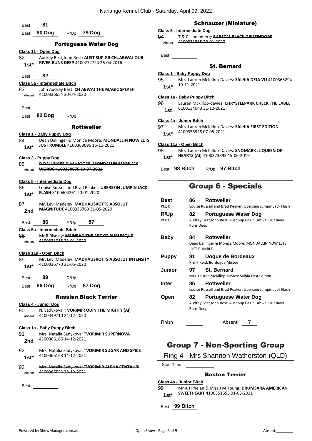- Best **81** Best **80 Dog** R/Up **79 Dog** Portuguese Water Dog **Class 11 - Open Dog** 82 Audrey Best,John Best: **AUST SUP GR CH,.ABWAJ OUR RIVER RUNS DEEP** 4100272724 26-04-2016 **1st\*** Best **82 Class 5a - Intermediate Bitch** 83 John Audrey Best: **CH ABWAJ THE MAGIC SPLASH** Absent 4100336654 30 04 2020 Best Best **82 Dog** R/Up Rottweiler **Class 1 - Baby Puppy Dog** 84 Dean Dallinger & Monica Moore: **MONDALLIN NOW LETS JUST RUMBLE** 4100363696 15-11-2021 **1st\* Class 3 - Puppy Dog** 85 D DALLINGER & M MOORE: **MONDALLIN MARK MY**  Absent **WORDS** 4100358675 13-07-2021 **Class 5 - Intermediate Dog** 86 Louise Russell and Brad Peaker: **UBERSEIN JUMPIN JACK FLASH** 3100404261 20-01-2020 **1st\*** 87 Mr. Levi Madeley: **MADHAUSROTTS ABSOLUT MAGNITUDE** 4100336763 31-05-2020 **2nd** Best **86** R/Up **87 Class 5a - Intermediate Bitch** 88 Mr R Riseley: **MEINRAD THE ART OF BURLESQUE** Absent 4100333015 23 01 2020 **Class 11a - Open Bitch** 89 Mr. Levi Madeley: **MADHAUSROTTS ABSOLUT INTENSITY** 4100336770 31-05-2020 **1st\*** Best **89** R/Up Best **86 Dog** R/Up **87 Dog** Russian Black Terrier **Class 4 - Junior Dog** 90 N. Sadykova: **TVORIMIR ODIN THE MIGHTY (AI)** Absent 4100349710 24-12-2020 **Class 1a - Baby Puppy Bitch** 91 Mrs. Natalia Sadykova: **TVORIMIR SUPERNOVA** 4100366166 14-12-2021 **2nd**
	- 92 Mrs. Natalia Sadykova: **TVORIMIR SUGAR AND SPICE** 4100366168 14-12-2021 **1st\***
	- 93 Mrs. Natalia Sadykova: **TVORIMIR ALPHA CENTAURI** Absent 4100366533 28-12-2021

Best

# Schnauzer (Miniature)

#### **Class 5 - Intermediate Dog**

94 T & C Lindenberg: **BABETAL BLACK GRIFFINDORF** Absent 4100331885 20-01-2020

Best

# St. Bernard

#### **Class 1 - Baby Puppy Dog**

95 Mrs. Lauren McKillop-Davies: **SALHIA DEJA VU** 4100365294 19-11-2021 **1st\***

#### **Class 1a - Baby Puppy Bitch**

96 Lauren Mckillop-davies: **CHRYSTLEPARK CHECK THE LABEL** 6100134043 31-12-2021 **1st**

#### **Class 4a - Junior Bitch**

97 Mrs. Lauren McKillop-Davies: **SALHIA FIRST EDITION** 4100353928 07-05-2021 **1st\***

#### **Class 11a - Open Bitch**

- 98 Mrs. Lauren McKillop-Davies: **SNOMARK JL QUEEN OF HEARTS (AI)** 4100323893 15-06-2019 **1st\***
- Best **98 Bitch** R/Up **97 Bitch**

# Group 6 - Specials

| Best<br>Pts: 0 | 86                                                                                          | <b>Rottweiler</b><br>Louise Russell and Brad Peaker: Ubersein Jumpin Jack Flash        |  |
|----------------|---------------------------------------------------------------------------------------------|----------------------------------------------------------------------------------------|--|
| R/Up<br>Pts: 0 | 82<br><b>Runs Deep</b>                                                                      | Portuguese Water Dog<br>Audrey Best, John Best: Aust Sup Gr Ch, Abwaj Our River        |  |
| Baby           | Rottweiler<br>84<br>Dean Dallinger & Monica Moore: MONDALLIN NOW LETS<br><b>JUST RUMBLE</b> |                                                                                        |  |
| <b>Puppy</b>   | 81                                                                                          | Dogue de Bordeaux<br>R & K Reid: Bordogue Mistee                                       |  |
| Junior         | 97                                                                                          | <b>St. Bernard</b><br>Mrs. Lauren McKillop-Davies: Salhia First Edition                |  |
| Inter          | 86                                                                                          | <b>Rottweiler</b><br>Louise Russell and Brad Peaker: Ubersein Jumpin Jack Flash        |  |
| Open           | 82<br><b>Runs Deep</b>                                                                      | <b>Portuguese Water Dog</b><br>Audrey Best, John Best: Aust Sup Gr Ch, Abwaj Our River |  |
| Finish         |                                                                                             | Absent                                                                                 |  |

# Group 7 - Non-Sporting Group

Ring 4 - Mrs Shannon Watherston (QLD)

Start Time:

# Boston Terrier

- **Class 4a - Junior Bitch**
- 99 Mr A J Phelan & Miss J M Young: **DRUMSARA AMERICAN SWEETHEART** 4100351655 01-03-2021 **1st\***
- Best **99 Bitch**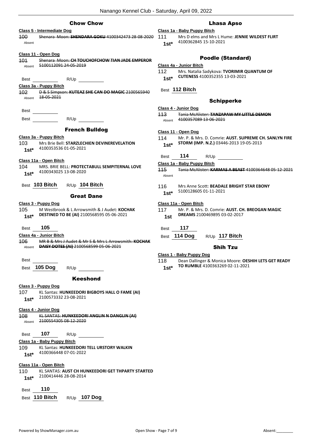# Chow Chow

# **Class 5 - Intermediate Dog**

100 Shenara Moon: **SHENDARA GOKU** 4100342473 28-08-2020 Absent

# **Class 11 - Open Dog**

101 Shenara Moon: **CH TOUCHOFCHOW TIAN JADE EMPEROR** Absent 5100112091 24-05-2019

Best R/Up

## **Class 3a - Puppy Bitch**

- 102 D & S Simpson: **KUTEAZ SHE CAN DO MAGIC** 2100565940 Absent 18 05 2021
- Best Best R/Up

# French Bulldog

**Class 3a - Puppy Bitch** 103 Mrs Brie Bell: **STARZLECHIEN DEVINEREVELATION** 4100353536 01-05-2021 **1st\***

#### **Class 11a - Open Bitch**

- 104 MRS. BRIE BELL: **PROTECTABULL SEMPITERNAL LOVE** 4100343025 13-08-2020 **1st\***
- Best **103 Bitch** R/Up **104 Bitch**

#### Great Dane

#### **Class 3 - Puppy Dog**

105 M Westbrook & L Arrowsmith & J Audet: **KOCHAK DESTINED TO BE (AI)** 2100568595 05-06-2021 **1st\***

## Best **105**

#### **Class 4a - Junior Bitch**

- 106 MR B & Mrs J Audet & Mr S & Mrs L Arrowsmith: **KOCHAK**  Absent **DAISY DOTES (AI)** 2100568599 05-06-2021
- Best

Best **105 Dog** R/Up

## Keeshond

- **Class 3 - Puppy Dog**
- 107 KL Santas: **HUNKEEDORI BIGBOYS HALL O FAME (AI)** 2100573332 23-08-2021 **1st\***

#### **Class 4 - Junior Dog**

108 KL SANTAS: **HUNKEEDORI ANGLIN N DANGLIN (AI)** Absent 2100554305 08-12-2020

| <b>Best</b> | 107 | R/Up |
|-------------|-----|------|
|             |     |      |

# **Class 1a - Baby Puppy Bitch**

- 109 KL Santas: **HUNKEEDORI TELL URSTORY WALKIN**
	- 4100366448 07-01-2022 **1st\***

#### **Class 11a - Open Bitch**

- 110 KL SANTAS: **AUST CH HUNKEEDORI GET THPARTY STARTED** 2100414446 28-08-2014 **1st\***
- Best **110**
- Best **110 Bitch** R/Up **107 Dog**

## Lhasa Apso

# **Class 1a - Baby Puppy Bitch**

- 111 Mrs D elms and Mrs L Hume: **JENNIE WILDEST FLIRT** 4100362845 15-10-2021 **1st\***
	-

# Poodle (Standard)

#### **Class 4a - Junior Bitch**

- 112 Mrs. Natalia Sadykova: **TVORIMIR QUANTUM OF CUTENESS** 4100352355 13-03-2021 **1st\***
	-
- Best **112 Bitch**

## Schipperke

- **Class 4 - Junior Dog**
- 113 Tania McAlister: **TANZAPAW MY LITTLE DEMON** Absent 4100357089 13-06-2021

#### **Class 11 - Open Dog**

- 114 Mr. P. & Mrs. D. Comrie: **AUST. SUPREME CH. SANLYN FIRE STORM (IMP. N.Z.)** 03446-2013 19-05-2013 **1st\***
- Best **114** R/Up
- **Class 1a - Baby Puppy Bitch**
- 115 Tania McAlister: **KARMAS A BEAST** 4100364648 05-12-2021 Absent
- 116 Mrs Anne Scott: **BEADALE BRIGHT STAR EBONY** 5100128605 01-11-2021 **1st\***

#### **Class 11a - Open Bitch**

- 117 Mr. P. & Mrs. D. Comrie: **AUST. CH. BREOGAN MAGIC DREAMS** 2100469895 03-02-2017 **1st**
- Best **117**
- Best **114 Dog** R/Up **117 Bitch**

## Shih Tzu

# **Class 1 - Baby Puppy Dog**

118 Dean Dallinger & Monica Moore: **OESHIH LETS GET READY TO RUMBLE** 4100363269 02-11-2021 **1st\***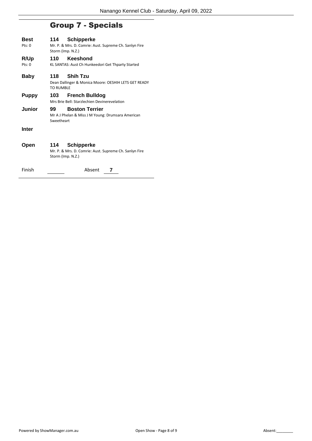# Group 7 - Specials

| Best<br>Pts:0  | 114<br>Storm (Imp. N.Z.) | <b>Schipperke</b><br>Mr. P. & Mrs. D. Comrie: Aust. Supreme Ch. Sanlyn Fire |
|----------------|--------------------------|-----------------------------------------------------------------------------|
| R/Up<br>Pts: 0 | 110                      | Keeshond<br>KL SANTAS: Aust Ch Hunkeedori Get Thparty Started               |
| Baby           | 118<br><b>TO RUMBLE</b>  | <b>Shih Tzu</b><br>Dean Dallinger & Monica Moore: OESHIH LETS GET READY     |
| <b>Puppy</b>   | 103 -                    | <b>French Bulldog</b><br>Mrs Brie Bell: Starzlechien Devinerevelation       |
| Junior         | 99<br>Sweetheart         | <b>Boston Terrier</b><br>Mr A J Phelan & Miss J M Young: Drumsara American  |
| Inter          |                          |                                                                             |
| Open           | 114<br>Storm (Imp. N.Z.) | <b>Schipperke</b><br>Mr. P. & Mrs. D. Comrie: Aust. Supreme Ch. Sanlyn Fire |

Finish **1988** Absent **7**